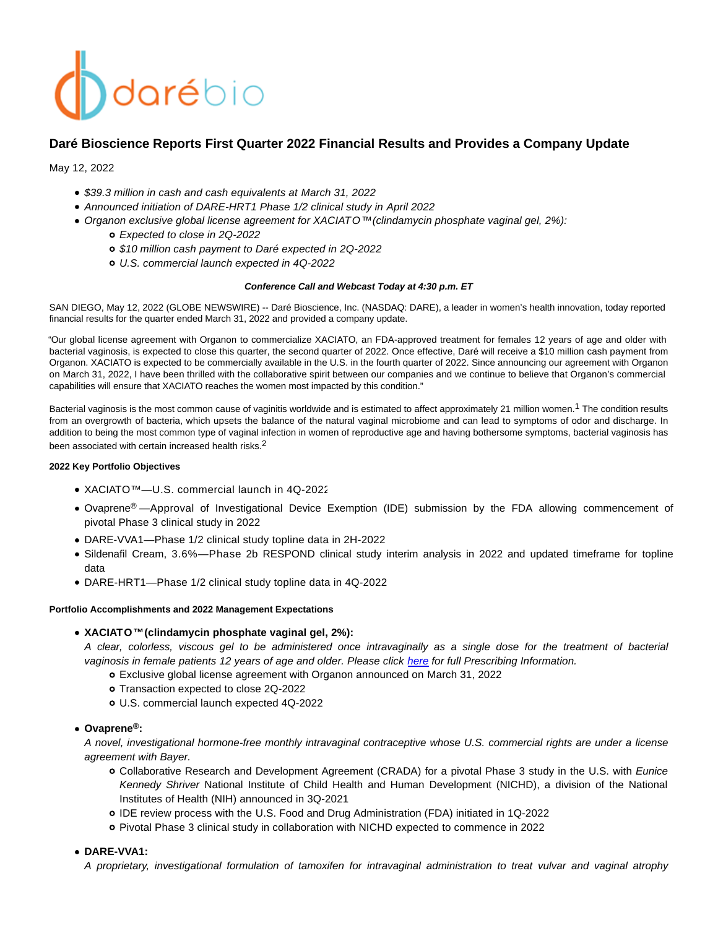# darébio

# **Daré Bioscience Reports First Quarter 2022 Financial Results and Provides a Company Update**

May 12, 2022

- \$39.3 million in cash and cash equivalents at March 31, 2022
- Announced initiation of DARE-HRT1 Phase 1/2 clinical study in April 2022
- Organon exclusive global license agreement for XACIATO™ (clindamycin phosphate vaginal gel, 2%):
	- Expected to close in 2Q-2022
	- \$10 million cash payment to Daré expected in 2Q-2022
	- U.S. commercial launch expected in 4Q-2022

## **Conference Call and Webcast Today at 4:30 p.m. ET**

SAN DIEGO, May 12, 2022 (GLOBE NEWSWIRE) -- Daré Bioscience, Inc. (NASDAQ: DARE), a leader in women's health innovation, today reported financial results for the quarter ended March 31, 2022 and provided a company update.

"Our global license agreement with Organon to commercialize XACIATO, an FDA-approved treatment for females 12 years of age and older with bacterial vaginosis, is expected to close this quarter, the second quarter of 2022. Once effective, Daré will receive a \$10 million cash payment from Organon. XACIATO is expected to be commercially available in the U.S. in the fourth quarter of 2022. Since announcing our agreement with Organon on March 31, 2022, I have been thrilled with the collaborative spirit between our companies and we continue to believe that Organon's commercial capabilities will ensure that XACIATO reaches the women most impacted by this condition."

Bacterial vaginosis is the most common cause of vaginitis worldwide and is estimated to affect approximately 21 million women.<sup>1</sup> The condition results from an overgrowth of bacteria, which upsets the balance of the natural vaginal microbiome and can lead to symptoms of odor and discharge. In addition to being the most common type of vaginal infection in women of reproductive age and having bothersome symptoms, bacterial vaginosis has been associated with certain increased health risks.<sup>2</sup>

# **2022 Key Portfolio Objectives**

- XACIATO™—U.S. commercial launch in 4Q-2022
- Ovaprene® —Approval of Investigational Device Exemption (IDE) submission by the FDA allowing commencement of pivotal Phase 3 clinical study in 2022
- DARE-VVA1—Phase 1/2 clinical study topline data in 2H-2022
- Sildenafil Cream, 3.6%—Phase 2b RESPOND clinical study interim analysis in 2022 and updated timeframe for topline data
- DARE-HRT1—Phase 1/2 clinical study topline data in 4Q-2022

#### **Portfolio Accomplishments and 2022 Management Expectations**

# **XACIATO™ (clindamycin phosphate vaginal gel, 2%):**

A clear, colorless, viscous gel to be administered once intravaginally as a single dose for the treatment of bacterial vaginosis in female patients 12 years of age and older. Please click [here f](https://www.accessdata.fda.gov/drugsatfda_docs/label/2021/215650s000lbl.pdf)or full Prescribing Information.

- Exclusive global license agreement with Organon announced on March 31, 2022
- o Transaction expected to close 2Q-2022
- U.S. commercial launch expected 4Q-2022

# **Ovaprene®:**

A novel, investigational hormone-free monthly intravaginal contraceptive whose U.S. commercial rights are under a license agreement with Bayer.

- Collaborative Research and Development Agreement (CRADA) for a pivotal Phase 3 study in the U.S. with Eunice Kennedy Shriver National Institute of Child Health and Human Development (NICHD), a division of the National Institutes of Health (NIH) announced in 3Q-2021
- IDE review process with the U.S. Food and Drug Administration (FDA) initiated in 1Q-2022
- Pivotal Phase 3 clinical study in collaboration with NICHD expected to commence in 2022

# **DARE-VVA1:**

A proprietary, investigational formulation of tamoxifen for intravaginal administration to treat vulvar and vaginal atrophy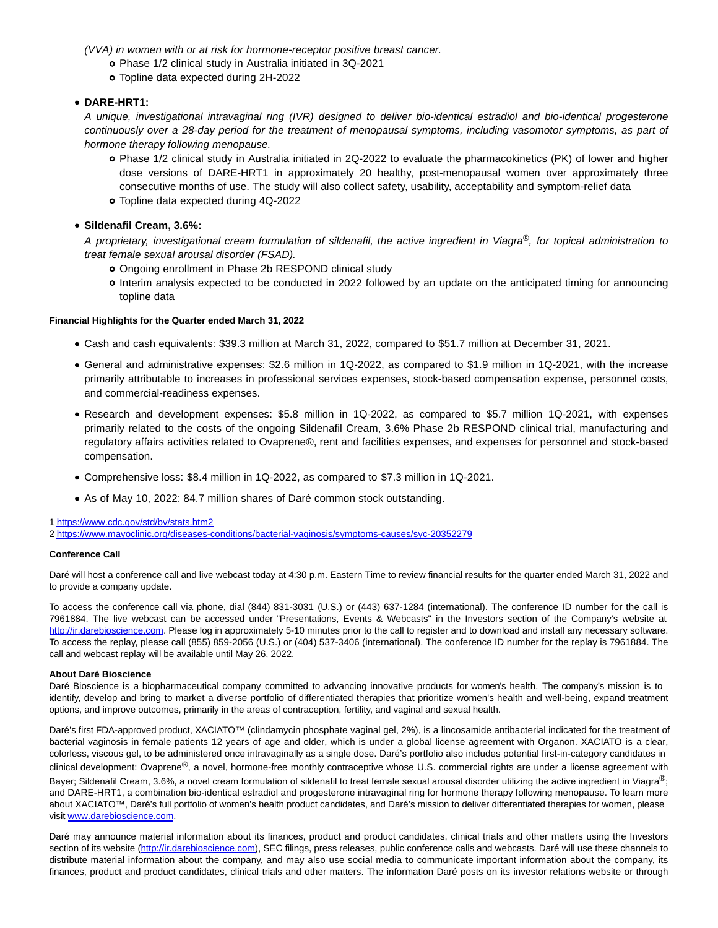(VVA) in women with or at risk for hormone-receptor positive breast cancer.

- Phase 1/2 clinical study in Australia initiated in 3Q-2021
- Topline data expected during 2H-2022

# **DARE-HRT1:**

A unique, investigational intravaginal ring (IVR) designed to deliver bio-identical estradiol and bio-identical progesterone continuously over a 28-day period for the treatment of menopausal symptoms, including vasomotor symptoms, as part of hormone therapy following menopause.

- Phase 1/2 clinical study in Australia initiated in 2Q-2022 to evaluate the pharmacokinetics (PK) of lower and higher dose versions of DARE-HRT1 in approximately 20 healthy, post-menopausal women over approximately three consecutive months of use. The study will also collect safety, usability, acceptability and symptom-relief data
- Topline data expected during 4Q-2022

**Sildenafil Cream, 3.6%:**

A proprietary, investigational cream formulation of sildenafil, the active ingredient in Viagra®, for topical administration to treat female sexual arousal disorder (FSAD).

- Ongoing enrollment in Phase 2b RESPOND clinical study
- Interim analysis expected to be conducted in 2022 followed by an update on the anticipated timing for announcing topline data

#### **Financial Highlights for the Quarter ended March 31, 2022**

- Cash and cash equivalents: \$39.3 million at March 31, 2022, compared to \$51.7 million at December 31, 2021.
- General and administrative expenses: \$2.6 million in 1Q-2022, as compared to \$1.9 million in 1Q-2021, with the increase primarily attributable to increases in professional services expenses, stock-based compensation expense, personnel costs, and commercial-readiness expenses.
- Research and development expenses: \$5.8 million in 1Q-2022, as compared to \$5.7 million 1Q-2021, with expenses primarily related to the costs of the ongoing Sildenafil Cream, 3.6% Phase 2b RESPOND clinical trial, manufacturing and regulatory affairs activities related to Ovaprene®, rent and facilities expenses, and expenses for personnel and stock-based compensation.
- Comprehensive loss: \$8.4 million in 1Q-2022, as compared to \$7.3 million in 1Q-2021.
- As of May 10, 2022: 84.7 million shares of Daré common stock outstanding.

[1 https://www.cdc.gov/std/bv/stats.htm2](https://www.cdc.gov/std/bv/stats.htm2)

[2 https://www.mayoclinic.org/diseases-conditions/bacterial-vaginosis/symptoms-causes/syc-20352279](https://www.mayoclinic.org/diseases-conditions/bacterial-vaginosis/symptoms-causes/syc-20352279)

#### **Conference Call**

Daré will host a conference call and live webcast today at 4:30 p.m. Eastern Time to review financial results for the quarter ended March 31, 2022 and to provide a company update.

To access the conference call via phone, dial (844) 831-3031 (U.S.) or (443) 637-1284 (international). The conference ID number for the call is 7961884. The live webcast can be accessed under "Presentations, Events & Webcasts" in the Investors section of the Company's website at [http://ir.darebioscience.com.](https://www.globenewswire.com/Tracker?data=LsSnGmKKkyQB_5_Mn3LXFHvWjwbhbZGieCdF728XV4-271ubx3CvzCK91rI76HWzP7-Yhu1xoKSl-vQsdcW3psO7mRScbJErujV-2uGe3-_IifmWYS_vtAR5bJw7pynt7O2idNY262-y8uTmrMLbh0UPFBYJQXHcET18E_A36gyXrdME5Wm_YvRZsdOPjTkocb63et24auxC2bx4IyY-uMKe4R-HyCTqlUAF5p0QAWfKmun637ge73eJQF3EbfF1PrTADbmJNui5MxGQKbfEXg==) Please log in approximately 5-10 minutes prior to the call to register and to download and install any necessary software. To access the replay, please call (855) 859-2056 (U.S.) or (404) 537-3406 (international). The conference ID number for the replay is 7961884. The call and webcast replay will be available until May 26, 2022.

#### **About Daré Bioscience**

Daré Bioscience is a biopharmaceutical company committed to advancing innovative products for women's health. The company's mission is to identify, develop and bring to market a diverse portfolio of differentiated therapies that prioritize women's health and well-being, expand treatment options, and improve outcomes, primarily in the areas of contraception, fertility, and vaginal and sexual health.

Daré's first FDA-approved product, XACIATO™ (clindamycin phosphate vaginal gel, 2%), is a lincosamide antibacterial indicated for the treatment of bacterial vaginosis in female patients 12 years of age and older, which is under a global license agreement with Organon. XACIATO is a clear, colorless, viscous gel, to be administered once intravaginally as a single dose. Daré's portfolio also includes potential first-in-category candidates in clinical development: Ovaprene®, a novel, hormone-free monthly contraceptive whose U.S. commercial rights are under a license agreement with Bayer; Sildenafil Cream, 3.6%, a novel cream formulation of sildenafil to treat female sexual arousal disorder utilizing the active ingredient in Viagra®; and DARE-HRT1, a combination bio-identical estradiol and progesterone intravaginal ring for hormone therapy following menopause. To learn more about XACIATO™, Daré's full portfolio of women's health product candidates, and Daré's mission to deliver differentiated therapies for women, please visit [www.darebioscience.com.](https://www.globenewswire.com/Tracker?data=X1shnV3XNas0NwuMG8lXWfVEk9CVAIsmY5cem1JFyGwMvg86F2lFriRVI3WTKesdXUqW7nn41np1h_I1DMw54K4d4M0ofEiBGmgAvFwKJFI6_IeZNRb9ftTeiXYtZ0qxV-TCsVYxSmY9gMrPYwH0GNcmG06wulBdUyT89jPsrtz7sRkZdPScGKuV4W-A8itsUiVWWcx4_g0cneyfAiRZFBQNiF31-AuS4o9x2O7fA_EBZWuWoDiUj1CXFe4khVH5CbqFiwFG1A-_oFO9OWnXgOPaEMbFd8Iu-Wi-tM3LwmzHBK-6d0VTcYqFNR_3Mo8Geglddcqwk6NXC1_9yRZqKiMAgQG_K-bB8xFBq_thDqfDWDDDFPrisxtbyxeJfX8ajc6XOz92z6IxlIG2akN3A4ApyJrwbR-bx2uf-er2TgHCEmkOoCFTFMOYm9_LcTSyC-YO2bqFwtLQfT1jyHRkfaooEUzrwT1xLP1RArAE86o=)

Daré may announce material information about its finances, product and product candidates, clinical trials and other matters using the Investors section of its website [\(http://ir.darebioscience.com\),](https://www.globenewswire.com/Tracker?data=LsSnGmKKkyQB_5_Mn3LXFHvWjwbhbZGieCdF728XV4_3CIowNCGCD-xQ8fQA8DyjyL40gRGq-OHQcmY39erD66Vf3Dt4b8-ESKtl21x95XBx-6-gCsQ5G5GyXVlkkH_S45Rv5W_GyA32VdweW8kwhqHdF1xRu6_lXPXdJNXpVYlYhcRJ0nvZMpHfeklKQFQAoOzvfqOFFa1no8PcF4vVfwj5fFMd6Ih_G5XLq8rvJZbLkW20Wk2TpThnmEWCkR-At6PZIQidI6gTWj4Xa507HT4h_S-hl2RffbuAGAmkfZsrzFaJWzhp9bMCQ8f5ivI-nOFcYR737376NmF_wRH_1JxDdX_V-FmqsNTktICy0uJMWPQoTb7N1TZp5vZHaA1JGTN7-1qkbF9hmTpva13fvNp51ayhQlQ6jc0X3pyEPOVi_7dohAxPvmK-KdVn-gTG-NjIZmXMI8QgypA3PvgKOmw0MdqfBODt1jYjQzJFsz4xu01Wx3PGSDlF4U7sa3Hz) SEC filings, press releases, public conference calls and webcasts. Daré will use these channels to distribute material information about the company, and may also use social media to communicate important information about the company, its finances, product and product candidates, clinical trials and other matters. The information Daré posts on its investor relations website or through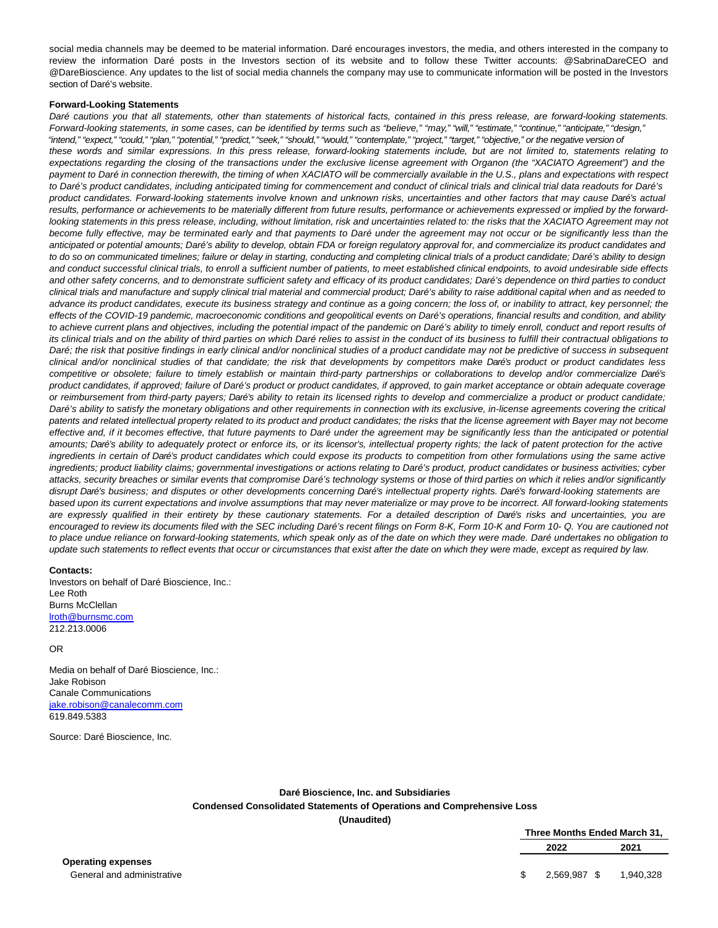social media channels may be deemed to be material information. Daré encourages investors, the media, and others interested in the company to review the information Daré posts in the Investors section of its website and to follow these Twitter accounts: @SabrinaDareCEO and @DareBioscience. Any updates to the list of social media channels the company may use to communicate information will be posted in the Investors section of Daré's website.

#### **Forward-Looking Statements**

Daré cautions you that all statements, other than statements of historical facts, contained in this press release, are forward-looking statements. Forward-looking statements, in some cases, can be identified by terms such as "believe," "may," "will," "estimate," "continue," "anticipate," "design," "intend," "expect," "could," "plan," "potential," "predict," "seek," "should," "would," "contemplate," "project," "target," "objective," or the negative version of these words and similar expressions. In this press release, forward-looking statements include, but are not limited to, statements relating to expectations regarding the closing of the transactions under the exclusive license agreement with Organon (the "XACIATO Agreement") and the payment to Daré in connection therewith, the timing of when XACIATO will be commercially available in the U.S., plans and expectations with respect to Daré's product candidates, including anticipated timing for commencement and conduct of clinical trials and clinical trial data readouts for Daré's product candidates. Forward-looking statements involve known and unknown risks, uncertainties and other factors that may cause Daré's actual results, performance or achievements to be materially different from future results, performance or achievements expressed or implied by the forwardlooking statements in this press release, including, without limitation, risk and uncertainties related to: the risks that the XACIATO Agreement may not become fully effective, may be terminated early and that payments to Daré under the agreement may not occur or be significantly less than the anticipated or potential amounts; Daré's ability to develop, obtain FDA or foreign regulatory approval for, and commercialize its product candidates and to do so on communicated timelines; failure or delay in starting, conducting and completing clinical trials of a product candidate; Daré's ability to design and conduct successful clinical trials, to enroll a sufficient number of patients, to meet established clinical endpoints, to avoid undesirable side effects and other safety concerns, and to demonstrate sufficient safety and efficacy of its product candidates; Daré's dependence on third parties to conduct clinical trials and manufacture and supply clinical trial material and commercial product; Daré's ability to raise additional capital when and as needed to advance its product candidates, execute its business strategy and continue as a going concern; the loss of, or inability to attract, key personnel; the effects of the COVID-19 pandemic, macroeconomic conditions and geopolitical events on Daré's operations, financial results and condition, and ability to achieve current plans and objectives, including the potential impact of the pandemic on Daré's ability to timely enroll, conduct and report results of its clinical trials and on the ability of third parties on which Daré relies to assist in the conduct of its business to fulfill their contractual obligations to Daré; the risk that positive findings in early clinical and/or nonclinical studies of a product candidate may not be predictive of success in subsequent clinical and/or nonclinical studies of that candidate; the risk that developments by competitors make Daré's product or product candidates less competitive or obsolete; failure to timely establish or maintain third-party partnerships or collaborations to develop and/or commercialize Daré's product candidates, if approved; failure of Daré's product or product candidates, if approved, to gain market acceptance or obtain adequate coverage or reimbursement from third-party payers; Daré's ability to retain its licensed rights to develop and commercialize a product or product candidate; Daré's ability to satisfy the monetary obligations and other requirements in connection with its exclusive, in-license agreements covering the critical patents and related intellectual property related to its product and product candidates; the risks that the license agreement with Bayer may not become effective and, if it becomes effective, that future payments to Daré under the agreement may be significantly less than the anticipated or potential amounts; Daré's ability to adequately protect or enforce its, or its licensor's, intellectual property rights; the lack of patent protection for the active ingredients in certain of Daré's product candidates which could expose its products to competition from other formulations using the same active ingredients; product liability claims; governmental investigations or actions relating to Daré's product, product candidates or business activities; cyber attacks, security breaches or similar events that compromise Daré's technology systems or those of third parties on which it relies and/or significantly disrupt Daré's business; and disputes or other developments concerning Daré's intellectual property rights. Daré's forward-looking statements are based upon its current expectations and involve assumptions that may never materialize or may prove to be incorrect. All forward-looking statements are expressly qualified in their entirety by these cautionary statements. For a detailed description of Daré's risks and uncertainties, you are encouraged to review its documents filed with the SEC including Daré's recent filings on Form 8-K, Form 10-K and Form 10- Q. You are cautioned not to place undue reliance on forward-looking statements, which speak only as of the date on which they were made. Daré undertakes no obligation to update such statements to reflect events that occur or circumstances that exist after the date on which they were made, except as required by law.

#### **Contacts:**

Investors on behalf of Daré Bioscience, Inc.: Lee Roth Burns McClellan [lroth@burnsmc.com](https://www.globenewswire.com/Tracker?data=3oiQJJQcvv5l2MJpu0T4cGGRQPVsIp7iyqtQFA7hbHN9LBWhYP6SSGRH5FSujLYXBPUL3_uQQnW7-4CbUIXqJA==) 212.213.0006

#### OR

Media on behalf of Daré Bioscience, Inc.: Jake Robison Canale Communications iake.robison@canalecomm.com 619.849.5383

Source: Daré Bioscience, Inc.

## **Daré Bioscience, Inc. and Subsidiaries Condensed Consolidated Statements of Operations and Comprehensive Loss (Unaudited)**

**Three Months Ended March 31, 2022 2021**